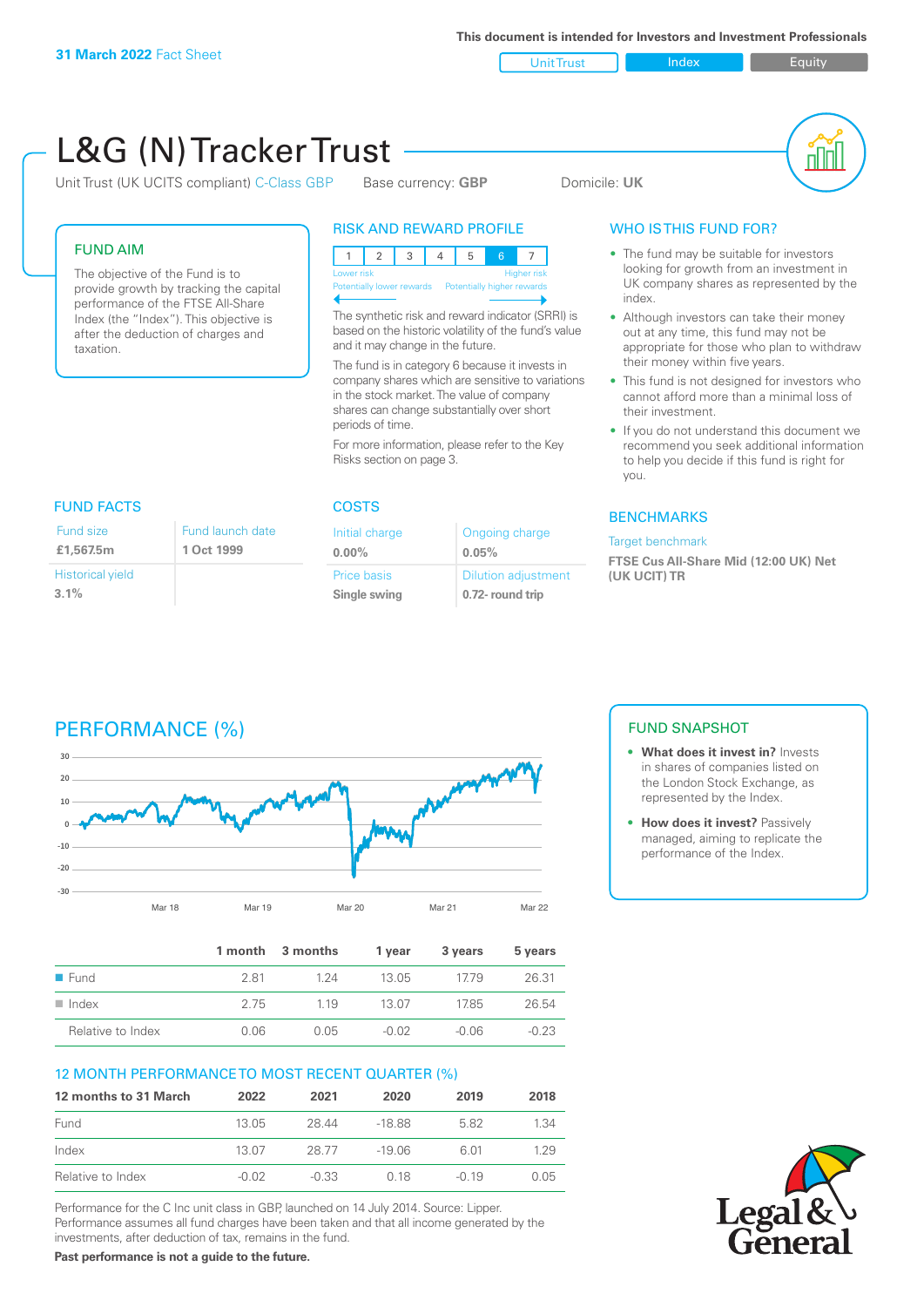investments, after deduction of tax, remains in the fund. **Past performance is not a guide to the future.**

Unit Trust Index Equity

| L&G (N) Tracker Trust                                                                                      | Unit Trust (UK UCITS compliant) C-Class GBP                                                                                                              |                             | Base currency: GBP                                                                  |                                                                                                          |                                                                                                                                                                        |                                                                                                                                                                                        |
|------------------------------------------------------------------------------------------------------------|----------------------------------------------------------------------------------------------------------------------------------------------------------|-----------------------------|-------------------------------------------------------------------------------------|----------------------------------------------------------------------------------------------------------|------------------------------------------------------------------------------------------------------------------------------------------------------------------------|----------------------------------------------------------------------------------------------------------------------------------------------------------------------------------------|
|                                                                                                            |                                                                                                                                                          |                             |                                                                                     | <b>RISK AND REWARD PROFILE</b>                                                                           |                                                                                                                                                                        | <b>WHO ISTHIS FUND FOR?</b>                                                                                                                                                            |
| <b>FUND AIM</b>                                                                                            | The objective of the Fund is to<br>provide growth by tracking the capital<br>performance of the FTSE All-Share<br>Index (the "Index"). This objective is | $\mathbf{1}$<br>Lower risk  | 2<br>3                                                                              | $\overline{4}$<br>5<br>Potentially lower rewards  Potentially higher rewards                             | 6<br>Higher risk<br>The synthetic risk and reward indicator (SRRI) is                                                                                                  | • The fund may be suitable for investors<br>looking for growth from an investment in<br>UK company shares as represented by the<br>index.<br>• Although investors can take their money |
| after the deduction of charges and<br>taxation.                                                            |                                                                                                                                                          |                             | and it may change in the future.<br>The fund is in category 6 because it invests in | based on the historic volatility of the fund's value<br>company shares which are sensitive to variations | out at any time, this fund may not be<br>appropriate for those who plan to withdraw<br>their money within five years.<br>• This fund is not designed for investors who |                                                                                                                                                                                        |
|                                                                                                            |                                                                                                                                                          |                             |                                                                                     | in the stock market. The value of company<br>shares can change substantially over short                  |                                                                                                                                                                        | cannot afford more than a minimal loss of<br>their investment.                                                                                                                         |
|                                                                                                            |                                                                                                                                                          | periods of time.            | Risks section on page 3.                                                            | For more information, please refer to the Key                                                            |                                                                                                                                                                        | • If you do not understand this document we<br>recommend you seek additional information<br>to help you decide if this fund is right for<br>you.                                       |
| <b>FUND FACTS</b>                                                                                          |                                                                                                                                                          | <b>COSTS</b>                |                                                                                     |                                                                                                          |                                                                                                                                                                        |                                                                                                                                                                                        |
| Fund size                                                                                                  | <b>Fund launch date</b>                                                                                                                                  | Initial charge              |                                                                                     |                                                                                                          | <b>Ongoing charge</b>                                                                                                                                                  | <b>BENCHMARKS</b><br>Target benchmark                                                                                                                                                  |
| £1,567.5m                                                                                                  | 1 Oct 1999                                                                                                                                               | $0.00\%$                    |                                                                                     | 0.05%                                                                                                    |                                                                                                                                                                        | FTSE Cus All-Share Mid (12:00 UK) Net                                                                                                                                                  |
|                                                                                                            |                                                                                                                                                          |                             |                                                                                     |                                                                                                          |                                                                                                                                                                        |                                                                                                                                                                                        |
|                                                                                                            |                                                                                                                                                          | Price basis<br>Single swing |                                                                                     |                                                                                                          | <b>Dilution adjustment</b><br>0.72- round trip                                                                                                                         | (UK UCIT) TR                                                                                                                                                                           |
| <b>Historical yield</b><br>3.1%<br>PERFORMANCE (%)<br>30                                                   |                                                                                                                                                          |                             |                                                                                     |                                                                                                          |                                                                                                                                                                        | <b>FUND SNAPSHOT</b><br>• What does it invest in? Invests                                                                                                                              |
|                                                                                                            |                                                                                                                                                          |                             |                                                                                     |                                                                                                          |                                                                                                                                                                        | in shares of companies listed on<br>the London Stock Exchange, as                                                                                                                      |
| $\mathbf 0$                                                                                                |                                                                                                                                                          |                             |                                                                                     |                                                                                                          |                                                                                                                                                                        | represented by the Index.<br>• How does it invest? Passively                                                                                                                           |
|                                                                                                            |                                                                                                                                                          |                             |                                                                                     |                                                                                                          |                                                                                                                                                                        | managed, aiming to replicate the<br>performance of the Index.                                                                                                                          |
|                                                                                                            |                                                                                                                                                          |                             |                                                                                     |                                                                                                          |                                                                                                                                                                        |                                                                                                                                                                                        |
|                                                                                                            | Mar 18<br>Mar 19                                                                                                                                         | Mar 20                      |                                                                                     | Mar 21                                                                                                   | <b>Mar 22</b>                                                                                                                                                          |                                                                                                                                                                                        |
|                                                                                                            | 1 month                                                                                                                                                  | 3 months                    | 1 year                                                                              | 3 years                                                                                                  | 5 years                                                                                                                                                                |                                                                                                                                                                                        |
| 20<br>10                                                                                                   | 2.81                                                                                                                                                     | 1.24                        | 13.05                                                                               | 17.79                                                                                                    | 26.31                                                                                                                                                                  |                                                                                                                                                                                        |
|                                                                                                            | 2.75                                                                                                                                                     | 1.19                        | 13.07                                                                               | 17.85                                                                                                    | 26.54                                                                                                                                                                  |                                                                                                                                                                                        |
| Relative to Index                                                                                          | 0.06                                                                                                                                                     | 0.05                        | $-0.02$                                                                             | $-0.06$                                                                                                  | $-0.23$                                                                                                                                                                |                                                                                                                                                                                        |
|                                                                                                            | 12 MONTH PERFORMANCE TO MOST RECENT QUARTER (%)                                                                                                          |                             |                                                                                     |                                                                                                          |                                                                                                                                                                        |                                                                                                                                                                                        |
|                                                                                                            | 2022                                                                                                                                                     | 2021                        | 2020                                                                                | 2019                                                                                                     | 2018                                                                                                                                                                   |                                                                                                                                                                                        |
| $-10$<br>$-20$<br>$-30$<br><b>E</b> Fund<br>$\blacksquare$ Index<br>12 months to 31 March<br>Fund<br>Index | 13.05<br>13.07                                                                                                                                           | 28.44<br>28.77              | $-18.88$<br>$-19.06$                                                                | 5.82<br>6.01                                                                                             | 1.34<br>1.29                                                                                                                                                           |                                                                                                                                                                                        |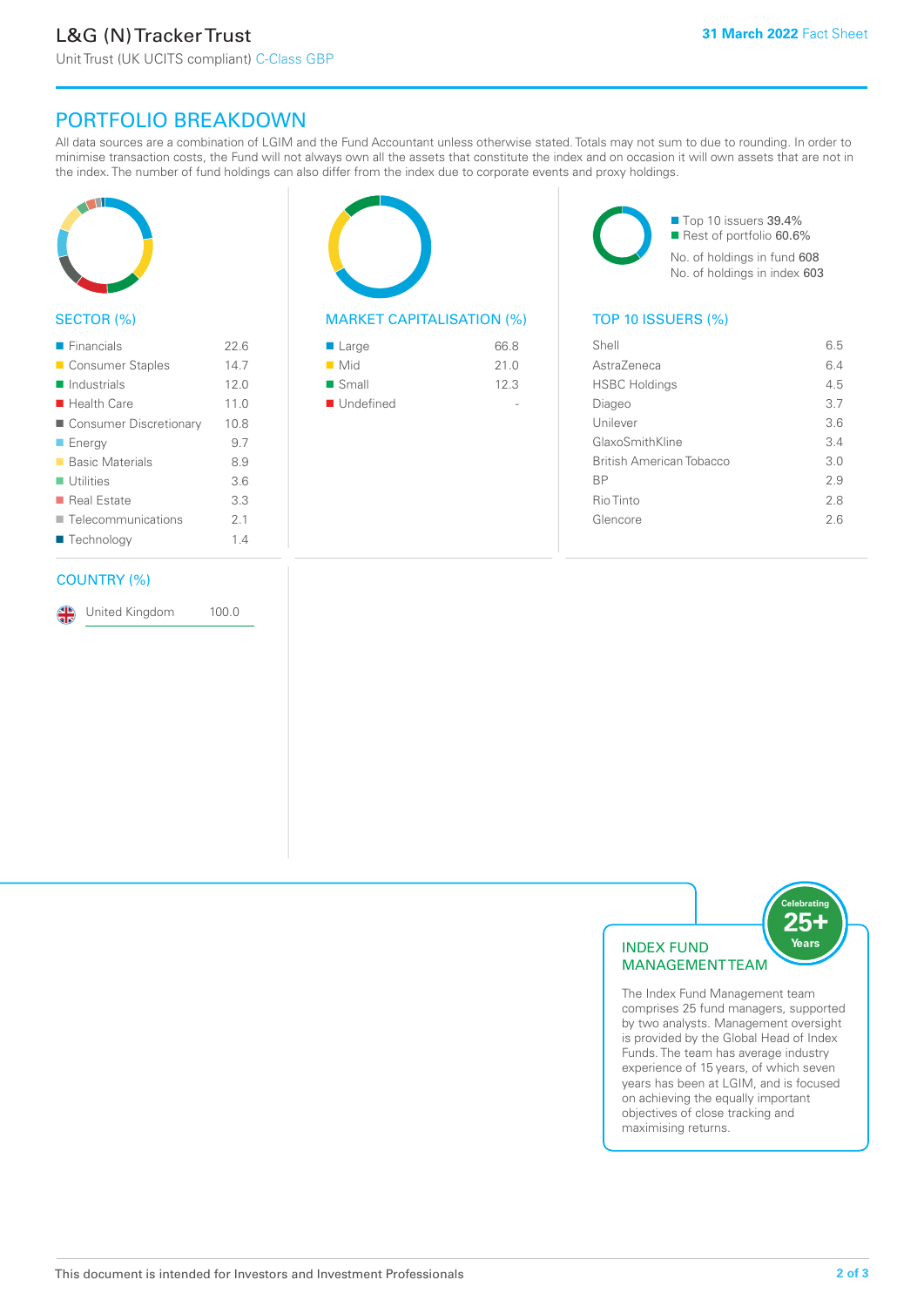# PORTFOLIO BREAKDOWN

All data sources are a combination of LGIM and the Fund Accountant unless otherwise stated. Totals may not sum to due to rounding. In order to minimise transaction costs, the Fund will not always own all the assets that constitute the index and on occasion it will own assets that are not in the index. The number of fund holdings can also differ from the index due to corporate events and proxy holdings.



# SECTOR (%)

| $\blacksquare$ Financials  | 226  |
|----------------------------|------|
| ■ Consumer Staples         | 14.7 |
| $\blacksquare$ Industrials | 12.0 |
| $\blacksquare$ Health Care | 11.0 |
| ■ Consumer Discretionary   | 10.8 |
| $\blacksquare$ Energy      | 9.7  |
| ■ Basic Materials          | 8.9  |
| $\blacksquare$ Utilities   | 3.6  |
| ■ Real Estate              | 3.3  |
| Telecommunications         | 21   |
| ■ Technology               | 14   |
|                            |      |

# COUNTRY (%)

United Kingdom 100.0



# MARKET CAPITALISATION (%) TOP 10 ISSUERS (%)

| ■ Large            | 66.8 |
|--------------------|------|
| $\blacksquare$ Mid | 21.0 |
| ■ Small            | 12.3 |
| ■ Undefined        |      |

■ Top 10 issuers 39.4% Rest of portfolio 60.6% No. of holdings in fund 608 No. of holdings in index 603

| Shell                    | 6.5 |
|--------------------------|-----|
| AstraZeneca              | 64  |
| <b>HSBC Holdings</b>     | 4.5 |
| Diageo                   | 37  |
| Unilever                 | 3.6 |
| GlaxoSmithKline          | 3.4 |
| British American Tobacco | 3.0 |
| <b>BP</b>                | 2.9 |
| Rio Tinto                | 2.8 |
| Glencore                 | 2.6 |
|                          |     |



The Index Fund Management team comprises 25 fund managers, supported by two analysts. Management oversight is provided by the Global Head of Index Funds. The team has average industry experience of 15 years, of which seven years has been at LGIM, and is focused on achieving the equally important objectives of close tracking and maximising returns.